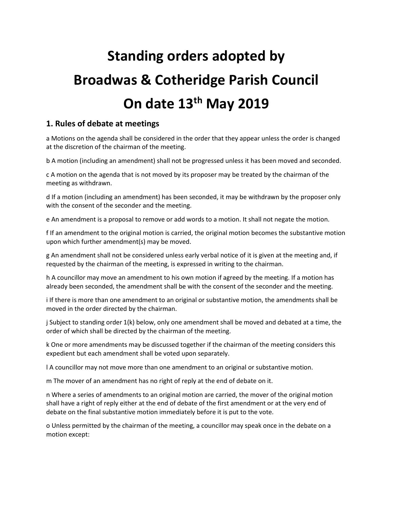# **Standing orders adopted by Broadwas & Cotheridge Parish Council On date 13th May 2019**

#### **1. Rules of debate at meetings**

a Motions on the agenda shall be considered in the order that they appear unless the order is changed at the discretion of the chairman of the meeting.

b A motion (including an amendment) shall not be progressed unless it has been moved and seconded.

c A motion on the agenda that is not moved by its proposer may be treated by the chairman of the meeting as withdrawn.

d If a motion (including an amendment) has been seconded, it may be withdrawn by the proposer only with the consent of the seconder and the meeting.

e An amendment is a proposal to remove or add words to a motion. It shall not negate the motion.

f If an amendment to the original motion is carried, the original motion becomes the substantive motion upon which further amendment(s) may be moved.

g An amendment shall not be considered unless early verbal notice of it is given at the meeting and, if requested by the chairman of the meeting, is expressed in writing to the chairman.

h A councillor may move an amendment to his own motion if agreed by the meeting. If a motion has already been seconded, the amendment shall be with the consent of the seconder and the meeting.

i If there is more than one amendment to an original or substantive motion, the amendments shall be moved in the order directed by the chairman.

j Subject to standing order 1(k) below, only one amendment shall be moved and debated at a time, the order of which shall be directed by the chairman of the meeting.

k One or more amendments may be discussed together if the chairman of the meeting considers this expedient but each amendment shall be voted upon separately.

l A councillor may not move more than one amendment to an original or substantive motion.

m The mover of an amendment has no right of reply at the end of debate on it.

n Where a series of amendments to an original motion are carried, the mover of the original motion shall have a right of reply either at the end of debate of the first amendment or at the very end of debate on the final substantive motion immediately before it is put to the vote.

o Unless permitted by the chairman of the meeting, a councillor may speak once in the debate on a motion except: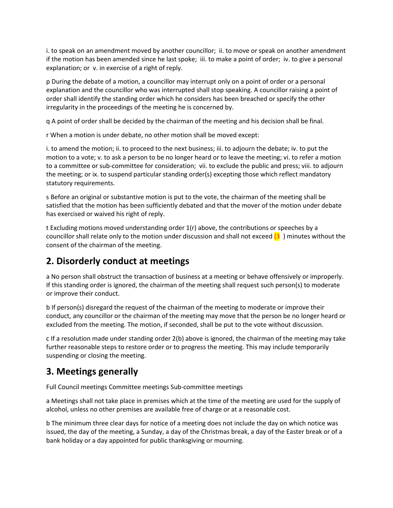i. to speak on an amendment moved by another councillor; ii. to move or speak on another amendment if the motion has been amended since he last spoke; iii. to make a point of order; iv. to give a personal explanation; or v. in exercise of a right of reply.

p During the debate of a motion, a councillor may interrupt only on a point of order or a personal explanation and the councillor who was interrupted shall stop speaking. A councillor raising a point of order shall identify the standing order which he considers has been breached or specify the other irregularity in the proceedings of the meeting he is concerned by.

q A point of order shall be decided by the chairman of the meeting and his decision shall be final.

r When a motion is under debate, no other motion shall be moved except:

i. to amend the motion; ii. to proceed to the next business; iii. to adjourn the debate; iv. to put the motion to a vote; v. to ask a person to be no longer heard or to leave the meeting; vi. to refer a motion to a committee or sub-committee for consideration; vii. to exclude the public and press; viii. to adjourn the meeting; or ix. to suspend particular standing order(s) excepting those which reflect mandatory statutory requirements.

s Before an original or substantive motion is put to the vote, the chairman of the meeting shall be satisfied that the motion has been sufficiently debated and that the mover of the motion under debate has exercised or waived his right of reply.

t Excluding motions moved understanding order 1(r) above, the contributions or speeches by a councillor shall relate only to the motion under discussion and shall not exceed  $(3)$  minutes without the consent of the chairman of the meeting.

#### **2. Disorderly conduct at meetings**

a No person shall obstruct the transaction of business at a meeting or behave offensively or improperly. If this standing order is ignored, the chairman of the meeting shall request such person(s) to moderate or improve their conduct.

b If person(s) disregard the request of the chairman of the meeting to moderate or improve their conduct, any councillor or the chairman of the meeting may move that the person be no longer heard or excluded from the meeting. The motion, if seconded, shall be put to the vote without discussion.

c If a resolution made under standing order 2(b) above is ignored, the chairman of the meeting may take further reasonable steps to restore order or to progress the meeting. This may include temporarily suspending or closing the meeting.

#### **3. Meetings generally**

Full Council meetings Committee meetings Sub-committee meetings

a Meetings shall not take place in premises which at the time of the meeting are used for the supply of alcohol, unless no other premises are available free of charge or at a reasonable cost.

b The minimum three clear days for notice of a meeting does not include the day on which notice was issued, the day of the meeting, a Sunday, a day of the Christmas break, a day of the Easter break or of a bank holiday or a day appointed for public thanksgiving or mourning.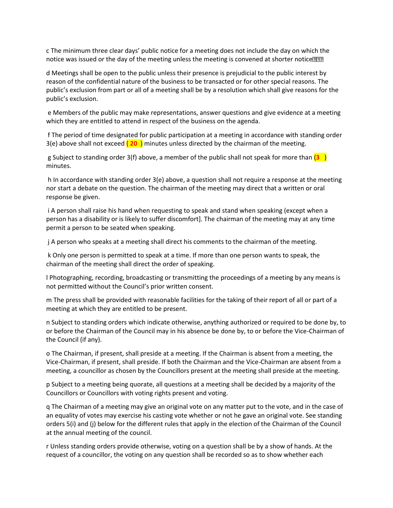c The minimum three clear days' public notice for a meeting does not include the day on which the notice was issued or the day of the meeting unless the meeting is convened at shorter notice.

d Meetings shall be open to the public unless their presence is prejudicial to the public interest by reason of the confidential nature of the business to be transacted or for other special reasons. The public's exclusion from part or all of a meeting shall be by a resolution which shall give reasons for the public's exclusion.

e Members of the public may make representations, answer questions and give evidence at a meeting which they are entitled to attend in respect of the business on the agenda.

f The period of time designated for public participation at a meeting in accordance with standing order 3(e) above shall not exceed **( 20** ) minutes unless directed by the chairman of the meeting.

g Subject to standing order 3(f) above, a member of the public shall not speak for more than (**3** ) minutes.

h In accordance with standing order 3(e) above, a question shall not require a response at the meeting nor start a debate on the question. The chairman of the meeting may direct that a written or oral response be given.

i A person shall raise his hand when requesting to speak and stand when speaking (except when a person has a disability or is likely to suffer discomfort]. The chairman of the meeting may at any time permit a person to be seated when speaking.

j A person who speaks at a meeting shall direct his comments to the chairman of the meeting.

k Only one person is permitted to speak at a time. If more than one person wants to speak, the chairman of the meeting shall direct the order of speaking.

l Photographing, recording, broadcasting or transmitting the proceedings of a meeting by any means is not permitted without the Council's prior written consent.

m The press shall be provided with reasonable facilities for the taking of their report of all or part of a meeting at which they are entitled to be present.

n Subject to standing orders which indicate otherwise, anything authorized or required to be done by, to or before the Chairman of the Council may in his absence be done by, to or before the Vice-Chairman of the Council (if any).

o The Chairman, if present, shall preside at a meeting. If the Chairman is absent from a meeting, the Vice-Chairman, if present, shall preside. If both the Chairman and the Vice-Chairman are absent from a meeting, a councillor as chosen by the Councillors present at the meeting shall preside at the meeting.

p Subject to a meeting being quorate, all questions at a meeting shall be decided by a majority of the Councillors or Councillors with voting rights present and voting.

q The Chairman of a meeting may give an original vote on any matter put to the vote, and in the case of an equality of votes may exercise his casting vote whether or not he gave an original vote. See standing orders 5(i) and (j) below for the different rules that apply in the election of the Chairman of the Council at the annual meeting of the council.

r Unless standing orders provide otherwise, voting on a question shall be by a show of hands. At the request of a councillor, the voting on any question shall be recorded so as to show whether each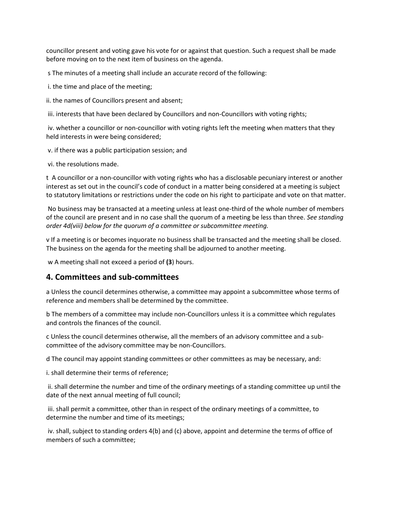councillor present and voting gave his vote for or against that question. Such a request shall be made before moving on to the next item of business on the agenda.

s The minutes of a meeting shall include an accurate record of the following:

i. the time and place of the meeting;

ii. the names of Councillors present and absent;

iii. interests that have been declared by Councillors and non-Councillors with voting rights;

iv. whether a councillor or non-councillor with voting rights left the meeting when matters that they held interests in were being considered;

v. if there was a public participation session; and

vi. the resolutions made.

t A councillor or a non-councillor with voting rights who has a disclosable pecuniary interest or another interest as set out in the council's code of conduct in a matter being considered at a meeting is subject to statutory limitations or restrictions under the code on his right to participate and vote on that matter.

No business may be transacted at a meeting unless at least one-third of the whole number of members of the council are present and in no case shall the quorum of a meeting be less than three. *See standing order 4d(viii) below for the quorum of a committee or subcommittee meeting.* 

v If a meeting is or becomes inquorate no business shall be transacted and the meeting shall be closed. The business on the agenda for the meeting shall be adjourned to another meeting.

w A meeting shall not exceed a period of **(3**) hours.

#### **4. Committees and sub-committees**

a Unless the council determines otherwise, a committee may appoint a subcommittee whose terms of reference and members shall be determined by the committee.

b The members of a committee may include non-Councillors unless it is a committee which regulates and controls the finances of the council.

c Unless the council determines otherwise, all the members of an advisory committee and a subcommittee of the advisory committee may be non-Councillors.

d The council may appoint standing committees or other committees as may be necessary, and:

i. shall determine their terms of reference;

ii. shall determine the number and time of the ordinary meetings of a standing committee up until the date of the next annual meeting of full council;

iii. shall permit a committee, other than in respect of the ordinary meetings of a committee, to determine the number and time of its meetings;

iv. shall, subject to standing orders 4(b) and (c) above, appoint and determine the terms of office of members of such a committee;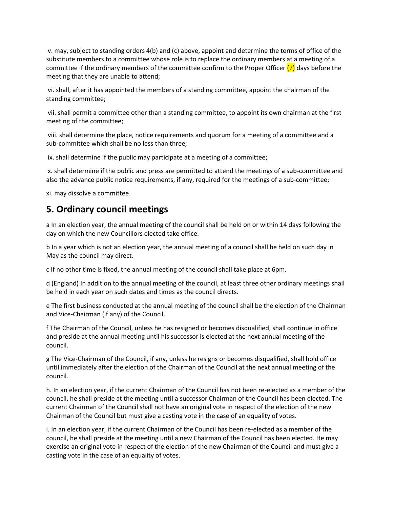v. may, subject to standing orders 4(b) and (c) above, appoint and determine the terms of office of the substitute members to a committee whose role is to replace the ordinary members at a meeting of a committee if the ordinary members of the committee confirm to the Proper Officer  $(7)$  days before the meeting that they are unable to attend;

vi. shall, after it has appointed the members of a standing committee, appoint the chairman of the standing committee;

vii. shall permit a committee other than a standing committee, to appoint its own chairman at the first meeting of the committee;

viii. shall determine the place, notice requirements and quorum for a meeting of a committee and a sub-committee which shall be no less than three;

ix. shall determine if the public may participate at a meeting of a committee;

x. shall determine if the public and press are permitted to attend the meetings of a sub-committee and also the advance public notice requirements, if any, required for the meetings of a sub-committee;

xi. may dissolve a committee.

#### **5. Ordinary council meetings**

a In an election year, the annual meeting of the council shall be held on or within 14 days following the day on which the new Councillors elected take office.

b In a year which is not an election year, the annual meeting of a council shall be held on such day in May as the council may direct.

c If no other time is fixed, the annual meeting of the council shall take place at 6pm.

d (England) In addition to the annual meeting of the council, at least three other ordinary meetings shall be held in each year on such dates and times as the council directs.

e The first business conducted at the annual meeting of the council shall be the election of the Chairman and Vice-Chairman (if any) of the Council.

f The Chairman of the Council, unless he has resigned or becomes disqualified, shall continue in office and preside at the annual meeting until his successor is elected at the next annual meeting of the council.

g The Vice-Chairman of the Council, if any, unless he resigns or becomes disqualified, shall hold office until immediately after the election of the Chairman of the Council at the next annual meeting of the council.

h. In an election year, if the current Chairman of the Council has not been re-elected as a member of the council, he shall preside at the meeting until a successor Chairman of the Council has been elected. The current Chairman of the Council shall not have an original vote in respect of the election of the new Chairman of the Council but must give a casting vote in the case of an equality of votes.

i. In an election year, if the current Chairman of the Council has been re-elected as a member of the council, he shall preside at the meeting until a new Chairman of the Council has been elected. He may exercise an original vote in respect of the election of the new Chairman of the Council and must give a casting vote in the case of an equality of votes.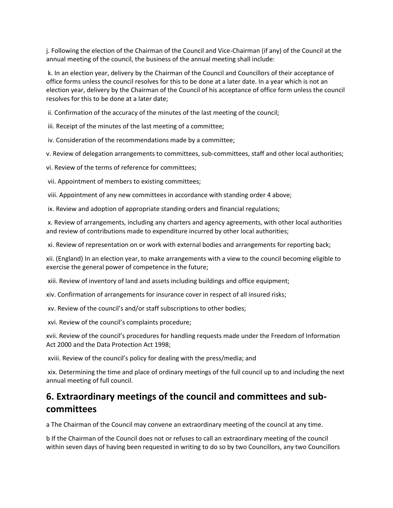j. Following the election of the Chairman of the Council and Vice-Chairman (if any) of the Council at the annual meeting of the council, the business of the annual meeting shall include:

k. In an election year, delivery by the Chairman of the Council and Councillors of their acceptance of office forms unless the council resolves for this to be done at a later date. In a year which is not an election year, delivery by the Chairman of the Council of his acceptance of office form unless the council resolves for this to be done at a later date;

ii. Confirmation of the accuracy of the minutes of the last meeting of the council;

iii. Receipt of the minutes of the last meeting of a committee;

iv. Consideration of the recommendations made by a committee;

v. Review of delegation arrangements to committees, sub-committees, staff and other local authorities;

vi. Review of the terms of reference for committees;

vii. Appointment of members to existing committees;

viii. Appointment of any new committees in accordance with standing order 4 above;

ix. Review and adoption of appropriate standing orders and financial regulations;

x. Review of arrangements, including any charters and agency agreements, with other local authorities and review of contributions made to expenditure incurred by other local authorities;

xi. Review of representation on or work with external bodies and arrangements for reporting back;

xii. (England) In an election year, to make arrangements with a view to the council becoming eligible to exercise the general power of competence in the future;

xiii. Review of inventory of land and assets including buildings and office equipment;

xiv. Confirmation of arrangements for insurance cover in respect of all insured risks;

xv. Review of the council's and/or staff subscriptions to other bodies;

xvi. Review of the council's complaints procedure;

xvii. Review of the council's procedures for handling requests made under the Freedom of Information Act 2000 and the Data Protection Act 1998;

xviii. Review of the council's policy for dealing with the press/media; and

xix. Determining the time and place of ordinary meetings of the full council up to and including the next annual meeting of full council.

#### **6. Extraordinary meetings of the council and committees and subcommittees**

a The Chairman of the Council may convene an extraordinary meeting of the council at any time.

b If the Chairman of the Council does not or refuses to call an extraordinary meeting of the council within seven days of having been requested in writing to do so by two Councillors, any two Councillors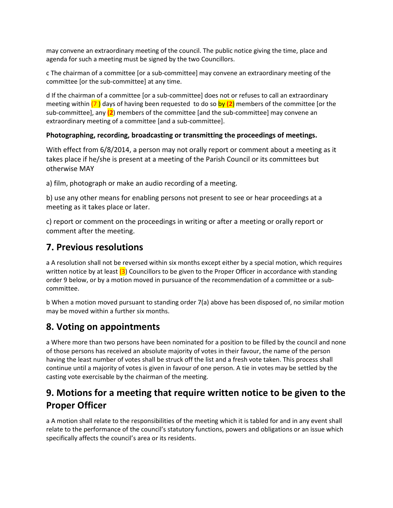may convene an extraordinary meeting of the council. The public notice giving the time, place and agenda for such a meeting must be signed by the two Councillors.

c The chairman of a committee [or a sub-committee] may convene an extraordinary meeting of the committee [or the sub-committee] at any time.

d If the chairman of a committee [or a sub-committee] does not or refuses to call an extraordinary meeting within (7 ) days of having been requested to do so by **(2**) members of the committee [or the sub-committee], any **(2**) members of the committee [and the sub-committee] may convene an extraordinary meeting of a committee [and a sub-committee].

#### **Photographing, recording, broadcasting or transmitting the proceedings of meetings.**

With effect from 6/8/2014, a person may not orally report or comment about a meeting as it takes place if he/she is present at a meeting of the Parish Council or its committees but otherwise MAY

a) film, photograph or make an audio recording of a meeting.

b) use any other means for enabling persons not present to see or hear proceedings at a meeting as it takes place or later.

c) report or comment on the proceedings in writing or after a meeting or orally report or comment after the meeting.

#### **7. Previous resolutions**

a A resolution shall not be reversed within six months except either by a special motion, which requires written notice by at least  $(3)$  Councillors to be given to the Proper Officer in accordance with standing order 9 below, or by a motion moved in pursuance of the recommendation of a committee or a subcommittee.

b When a motion moved pursuant to standing order 7(a) above has been disposed of, no similar motion may be moved within a further six months.

## **8. Voting on appointments**

a Where more than two persons have been nominated for a position to be filled by the council and none of those persons has received an absolute majority of votes in their favour, the name of the person having the least number of votes shall be struck off the list and a fresh vote taken. This process shall continue until a majority of votes is given in favour of one person. A tie in votes may be settled by the casting vote exercisable by the chairman of the meeting.

## **9. Motions for a meeting that require written notice to be given to the Proper Officer**

a A motion shall relate to the responsibilities of the meeting which it is tabled for and in any event shall relate to the performance of the council's statutory functions, powers and obligations or an issue which specifically affects the council's area or its residents.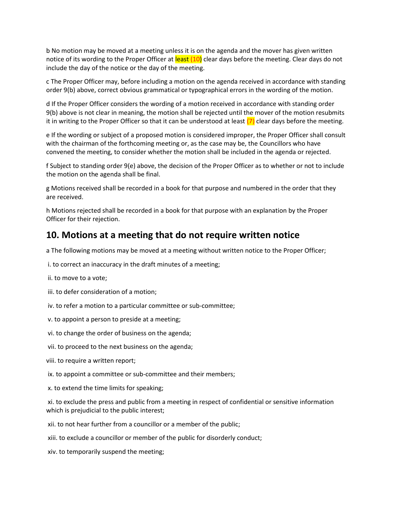b No motion may be moved at a meeting unless it is on the agenda and the mover has given written notice of its wording to the Proper Officer at least (10) clear days before the meeting. Clear days do not include the day of the notice or the day of the meeting.

c The Proper Officer may, before including a motion on the agenda received in accordance with standing order 9(b) above, correct obvious grammatical or typographical errors in the wording of the motion.

d If the Proper Officer considers the wording of a motion received in accordance with standing order 9(b) above is not clear in meaning, the motion shall be rejected until the mover of the motion resubmits it in writing to the Proper Officer so that it can be understood at least  $(7)$  clear days before the meeting.

e If the wording or subject of a proposed motion is considered improper, the Proper Officer shall consult with the chairman of the forthcoming meeting or, as the case may be, the Councillors who have convened the meeting, to consider whether the motion shall be included in the agenda or rejected.

f Subject to standing order 9(e) above, the decision of the Proper Officer as to whether or not to include the motion on the agenda shall be final.

g Motions received shall be recorded in a book for that purpose and numbered in the order that they are received.

h Motions rejected shall be recorded in a book for that purpose with an explanation by the Proper Officer for their rejection.

#### **10. Motions at a meeting that do not require written notice**

a The following motions may be moved at a meeting without written notice to the Proper Officer;

- i. to correct an inaccuracy in the draft minutes of a meeting;
- ii. to move to a vote;
- iii. to defer consideration of a motion;
- iv. to refer a motion to a particular committee or sub-committee;
- v. to appoint a person to preside at a meeting;
- vi. to change the order of business on the agenda;
- vii. to proceed to the next business on the agenda;
- viii. to require a written report;
- ix. to appoint a committee or sub-committee and their members;
- x. to extend the time limits for speaking;
- xi. to exclude the press and public from a meeting in respect of confidential or sensitive information which is prejudicial to the public interest;
- xii. to not hear further from a councillor or a member of the public;
- xiii. to exclude a councillor or member of the public for disorderly conduct;
- xiv. to temporarily suspend the meeting;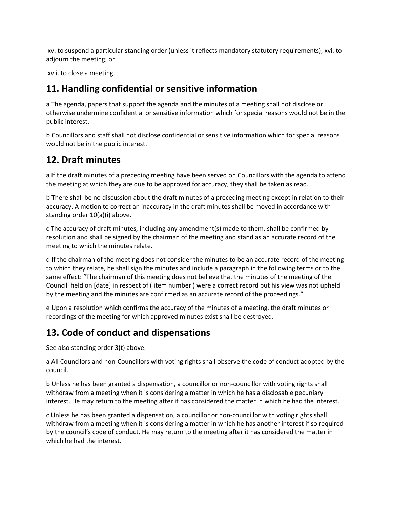xv. to suspend a particular standing order (unless it reflects mandatory statutory requirements); xvi. to adjourn the meeting; or

xvii. to close a meeting.

#### **11. Handling confidential or sensitive information**

a The agenda, papers that support the agenda and the minutes of a meeting shall not disclose or otherwise undermine confidential or sensitive information which for special reasons would not be in the public interest.

b Councillors and staff shall not disclose confidential or sensitive information which for special reasons would not be in the public interest.

#### **12. Draft minutes**

a If the draft minutes of a preceding meeting have been served on Councillors with the agenda to attend the meeting at which they are due to be approved for accuracy, they shall be taken as read.

b There shall be no discussion about the draft minutes of a preceding meeting except in relation to their accuracy. A motion to correct an inaccuracy in the draft minutes shall be moved in accordance with standing order 10(a)(i) above.

c The accuracy of draft minutes, including any amendment(s) made to them, shall be confirmed by resolution and shall be signed by the chairman of the meeting and stand as an accurate record of the meeting to which the minutes relate.

d If the chairman of the meeting does not consider the minutes to be an accurate record of the meeting to which they relate, he shall sign the minutes and include a paragraph in the following terms or to the same effect: "The chairman of this meeting does not believe that the minutes of the meeting of the Council held on [date] in respect of ( item number ) were a correct record but his view was not upheld by the meeting and the minutes are confirmed as an accurate record of the proceedings."

e Upon a resolution which confirms the accuracy of the minutes of a meeting, the draft minutes or recordings of the meeting for which approved minutes exist shall be destroyed.

## **13. Code of conduct and dispensations**

See also standing order 3(t) above.

a All Councilors and non-Councillors with voting rights shall observe the code of conduct adopted by the council.

b Unless he has been granted a dispensation, a councillor or non-councillor with voting rights shall withdraw from a meeting when it is considering a matter in which he has a disclosable pecuniary interest. He may return to the meeting after it has considered the matter in which he had the interest.

c Unless he has been granted a dispensation, a councillor or non-councillor with voting rights shall withdraw from a meeting when it is considering a matter in which he has another interest if so required by the council's code of conduct. He may return to the meeting after it has considered the matter in which he had the interest.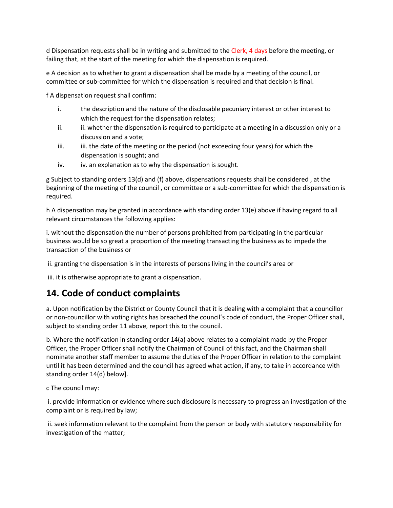d Dispensation requests shall be in writing and submitted to the Clerk, 4 days before the meeting, or failing that, at the start of the meeting for which the dispensation is required.

e A decision as to whether to grant a dispensation shall be made by a meeting of the council, or committee or sub-committee for which the dispensation is required and that decision is final.

f A dispensation request shall confirm:

- i. the description and the nature of the disclosable pecuniary interest or other interest to which the request for the dispensation relates;
- ii. ii. whether the dispensation is required to participate at a meeting in a discussion only or a discussion and a vote;
- iii. iii. the date of the meeting or the period (not exceeding four years) for which the dispensation is sought; and
- iv. iv. an explanation as to why the dispensation is sought.

g Subject to standing orders 13(d) and (f) above, dispensations requests shall be considered , at the beginning of the meeting of the council , or committee or a sub-committee for which the dispensation is required.

h A dispensation may be granted in accordance with standing order 13(e) above if having regard to all relevant circumstances the following applies:

i. without the dispensation the number of persons prohibited from participating in the particular business would be so great a proportion of the meeting transacting the business as to impede the transaction of the business or

ii. granting the dispensation is in the interests of persons living in the council's area or

iii. it is otherwise appropriate to grant a dispensation.

#### **14. Code of conduct complaints**

a. Upon notification by the District or County Council that it is dealing with a complaint that a councillor or non-councillor with voting rights has breached the council's code of conduct, the Proper Officer shall, subject to standing order 11 above, report this to the council.

b. Where the notification in standing order 14(a) above relates to a complaint made by the Proper Officer, the Proper Officer shall notify the Chairman of Council of this fact, and the Chairman shall nominate another staff member to assume the duties of the Proper Officer in relation to the complaint until it has been determined and the council has agreed what action, if any, to take in accordance with standing order 14(d) below].

c The council may:

i. provide information or evidence where such disclosure is necessary to progress an investigation of the complaint or is required by law;

ii. seek information relevant to the complaint from the person or body with statutory responsibility for investigation of the matter;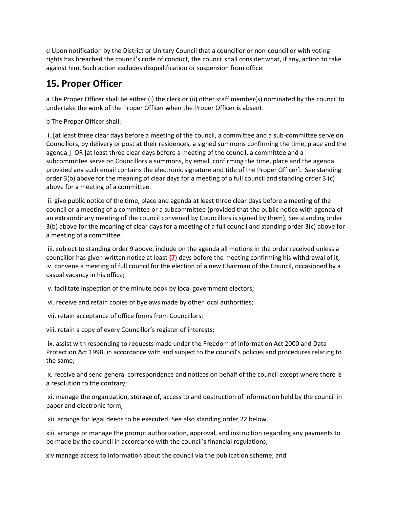d Upon notification by the District or Unitary Council that a councillor or non-councillor with voting rights has breached the council's code of conduct, the council shall consider what, if any, action to take against him. Such action excludes disqualification or suspension from office.

## **15. Proper Officer**

a The Proper Officer shall be either (i) the clerk or (ii) other staff member(s) nominated by the council to undertake the work of the Proper Officer when the Proper Officer is absent.

b The Proper Officer shall:

i. [at least three clear days before a meeting of the council, a committee and a sub-committee serve on Councillors, by delivery or post at their residences, a signed summons confirming the time, place and the agenda.] OR [at least three clear days before a meeting of the council, a committee and a subcommittee serve on Councillors a summons, by email, confirming the time, place and the agenda provided any such email contains the electronic signature and title of the Proper Officer]. See standing order 3(b) above for the meaning of clear days for a meeting of a full council and standing order 3 (c) above for a meeting of a committee.

ii. give public notice of the time, place and agenda at least three clear days before a meeting of the council or a meeting of a committee or a subcommittee (provided that the public notice with agenda of an extraordinary meeting of the council convened by Councillors is signed by them); See standing order 3(b) above for the meaning of clear days for a meeting of a full council and standing order 3(c) above for a meeting of a committee.

iii. subject to standing order 9 above, include on the agenda all motions in the order received unless a councillor has given written notice at least **(7**) days before the meeting confirming his withdrawal of it; iv. convene a meeting of full council for the election of a new Chairman of the Council, occasioned by a casual vacancy in his office;

v. facilitate inspection of the minute book by local government electors;

vi. receive and retain copies of byelaws made by other local authorities;

vii. retain acceptance of office forms from Councillors;

viii. retain a copy of every Councillor's register of interests;

ix. assist with responding to requests made under the Freedom of Information Act 2000 and Data Protection Act 1998, in accordance with and subject to the council's policies and procedures relating to the same;

x. receive and send general correspondence and notices on behalf of the council except where there is a resolution to the contrary;

xi. manage the organization, storage of, access to and destruction of information held by the council in paper and electronic form;

xii. arrange for legal deeds to be executed; See also standing order 22 below.

xiii. arrange or manage the prompt authorization, approval, and instruction regarding any payments to be made by the council in accordance with the council's financial regulations;

xiv manage access to information about the council via the publication scheme; and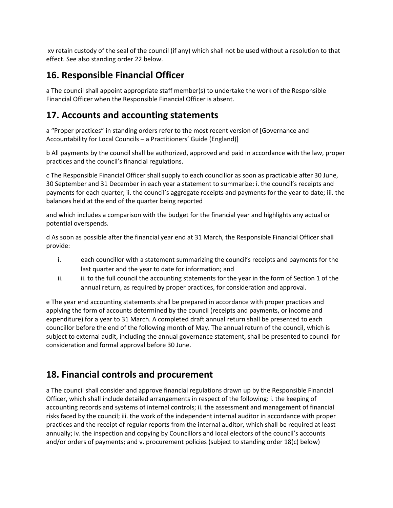xv retain custody of the seal of the council (if any) which shall not be used without a resolution to that effect. See also standing order 22 below.

#### **16. Responsible Financial Officer**

a The council shall appoint appropriate staff member(s) to undertake the work of the Responsible Financial Officer when the Responsible Financial Officer is absent.

#### **17. Accounts and accounting statements**

a "Proper practices" in standing orders refer to the most recent version of [Governance and Accountability for Local Councils – a Practitioners' Guide (England)]

b All payments by the council shall be authorized, approved and paid in accordance with the law, proper practices and the council's financial regulations.

c The Responsible Financial Officer shall supply to each councillor as soon as practicable after 30 June, 30 September and 31 December in each year a statement to summarize: i. the council's receipts and payments for each quarter; ii. the council's aggregate receipts and payments for the year to date; iii. the balances held at the end of the quarter being reported

and which includes a comparison with the budget for the financial year and highlights any actual or potential overspends.

d As soon as possible after the financial year end at 31 March, the Responsible Financial Officer shall provide:

- i. each councillor with a statement summarizing the council's receipts and payments for the last quarter and the year to date for information; and
- ii. ii. to the full council the accounting statements for the year in the form of Section 1 of the annual return, as required by proper practices, for consideration and approval.

e The year end accounting statements shall be prepared in accordance with proper practices and applying the form of accounts determined by the council (receipts and payments, or income and expenditure) for a year to 31 March. A completed draft annual return shall be presented to each councillor before the end of the following month of May. The annual return of the council, which is subject to external audit, including the annual governance statement, shall be presented to council for consideration and formal approval before 30 June.

## **18. Financial controls and procurement**

a The council shall consider and approve financial regulations drawn up by the Responsible Financial Officer, which shall include detailed arrangements in respect of the following: i. the keeping of accounting records and systems of internal controls; ii. the assessment and management of financial risks faced by the council; iii. the work of the independent internal auditor in accordance with proper practices and the receipt of regular reports from the internal auditor, which shall be required at least annually; iv. the inspection and copying by Councillors and local electors of the council's accounts and/or orders of payments; and v. procurement policies (subject to standing order 18(c) below)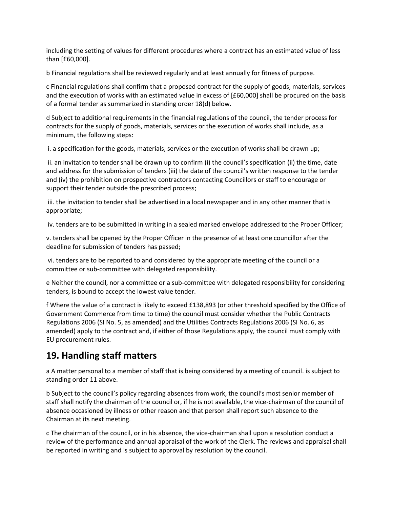including the setting of values for different procedures where a contract has an estimated value of less than [£60,000].

b Financial regulations shall be reviewed regularly and at least annually for fitness of purpose.

c Financial regulations shall confirm that a proposed contract for the supply of goods, materials, services and the execution of works with an estimated value in excess of [£60,000] shall be procured on the basis of a formal tender as summarized in standing order 18(d) below.

d Subject to additional requirements in the financial regulations of the council, the tender process for contracts for the supply of goods, materials, services or the execution of works shall include, as a minimum, the following steps:

i. a specification for the goods, materials, services or the execution of works shall be drawn up;

ii. an invitation to tender shall be drawn up to confirm (i) the council's specification (ii) the time, date and address for the submission of tenders (iii) the date of the council's written response to the tender and (iv) the prohibition on prospective contractors contacting Councillors or staff to encourage or support their tender outside the prescribed process;

iii. the invitation to tender shall be advertised in a local newspaper and in any other manner that is appropriate;

iv. tenders are to be submitted in writing in a sealed marked envelope addressed to the Proper Officer;

v. tenders shall be opened by the Proper Officer in the presence of at least one councillor after the deadline for submission of tenders has passed;

vi. tenders are to be reported to and considered by the appropriate meeting of the council or a committee or sub-committee with delegated responsibility.

e Neither the council, nor a committee or a sub-committee with delegated responsibility for considering tenders, is bound to accept the lowest value tender.

f Where the value of a contract is likely to exceed £138,893 (or other threshold specified by the Office of Government Commerce from time to time) the council must consider whether the Public Contracts Regulations 2006 (SI No. 5, as amended) and the Utilities Contracts Regulations 2006 (SI No. 6, as amended) apply to the contract and, if either of those Regulations apply, the council must comply with EU procurement rules.

## **19. Handling staff matters**

a A matter personal to a member of staff that is being considered by a meeting of council. is subject to standing order 11 above.

b Subject to the council's policy regarding absences from work, the council's most senior member of staff shall notify the chairman of the council or, if he is not available, the vice-chairman of the council of absence occasioned by illness or other reason and that person shall report such absence to the Chairman at its next meeting.

c The chairman of the council, or in his absence, the vice-chairman shall upon a resolution conduct a review of the performance and annual appraisal of the work of the Clerk. The reviews and appraisal shall be reported in writing and is subject to approval by resolution by the council.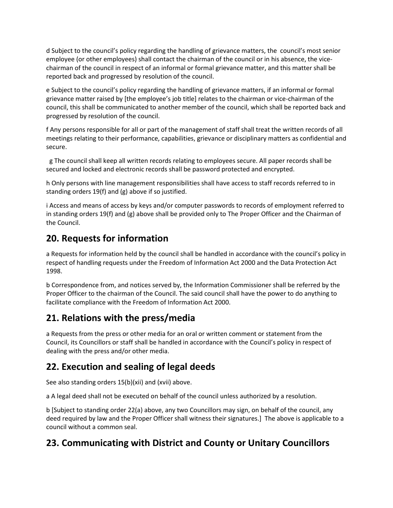d Subject to the council's policy regarding the handling of grievance matters, the council's most senior employee (or other employees) shall contact the chairman of the council or in his absence, the vicechairman of the council in respect of an informal or formal grievance matter, and this matter shall be reported back and progressed by resolution of the council.

e Subject to the council's policy regarding the handling of grievance matters, if an informal or formal grievance matter raised by [the employee's job title] relates to the chairman or vice-chairman of the council, this shall be communicated to another member of the council, which shall be reported back and progressed by resolution of the council.

f Any persons responsible for all or part of the management of staff shall treat the written records of all meetings relating to their performance, capabilities, grievance or disciplinary matters as confidential and secure.

 g The council shall keep all written records relating to employees secure. All paper records shall be secured and locked and electronic records shall be password protected and encrypted.

h Only persons with line management responsibilities shall have access to staff records referred to in standing orders 19(f) and (g) above if so justified.

i Access and means of access by keys and/or computer passwords to records of employment referred to in standing orders 19(f) and (g) above shall be provided only to The Proper Officer and the Chairman of the Council.

## **20. Requests for information**

a Requests for information held by the council shall be handled in accordance with the council's policy in respect of handling requests under the Freedom of Information Act 2000 and the Data Protection Act 1998.

b Correspondence from, and notices served by, the Information Commissioner shall be referred by the Proper Officer to the chairman of the Council. The said council shall have the power to do anything to facilitate compliance with the Freedom of Information Act 2000.

## **21. Relations with the press/media**

a Requests from the press or other media for an oral or written comment or statement from the Council, its Councillors or staff shall be handled in accordance with the Council's policy in respect of dealing with the press and/or other media.

## **22. Execution and sealing of legal deeds**

See also standing orders 15(b)(xii) and (xvii) above.

a A legal deed shall not be executed on behalf of the council unless authorized by a resolution.

b [Subject to standing order 22(a) above, any two Councillors may sign, on behalf of the council, any deed required by law and the Proper Officer shall witness their signatures.] The above is applicable to a council without a common seal.

## **23. Communicating with District and County or Unitary Councillors**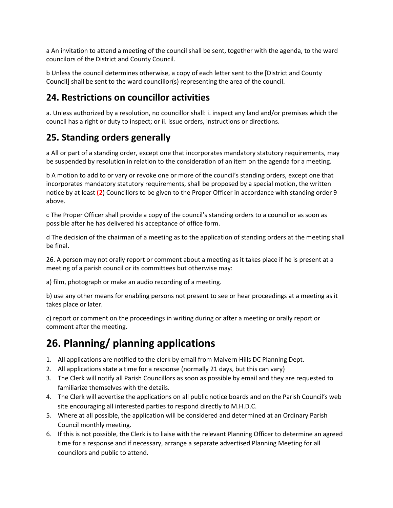a An invitation to attend a meeting of the council shall be sent, together with the agenda, to the ward councilors of the District and County Council.

b Unless the council determines otherwise, a copy of each letter sent to the [District and County Council] shall be sent to the ward councillor(s) representing the area of the council.

#### **24. Restrictions on councillor activities**

a. Unless authorized by a resolution, no councillor shall: i. inspect any land and/or premises which the council has a right or duty to inspect; or ii. issue orders, instructions or directions.

#### **25. Standing orders generally**

a All or part of a standing order, except one that incorporates mandatory statutory requirements, may be suspended by resolution in relation to the consideration of an item on the agenda for a meeting.

b A motion to add to or vary or revoke one or more of the council's standing orders, except one that incorporates mandatory statutory requirements, shall be proposed by a special motion, the written notice by at least **(2**) Councillors to be given to the Proper Officer in accordance with standing order 9 above.

c The Proper Officer shall provide a copy of the council's standing orders to a councillor as soon as possible after he has delivered his acceptance of office form.

d The decision of the chairman of a meeting as to the application of standing orders at the meeting shall be final.

26. A person may not orally report or comment about a meeting as it takes place if he is present at a meeting of a parish council or its committees but otherwise may:

a) film, photograph or make an audio recording of a meeting.

b) use any other means for enabling persons not present to see or hear proceedings at a meeting as it takes place or later.

c) report or comment on the proceedings in writing during or after a meeting or orally report or comment after the meeting.

## **26. Planning/ planning applications**

- 1. All applications are notified to the clerk by email from Malvern Hills DC Planning Dept.
- 2. All applications state a time for a response (normally 21 days, but this can vary)
- 3. The Clerk will notify all Parish Councillors as soon as possible by email and they are requested to familiarize themselves with the details.
- 4. The Clerk will advertise the applications on all public notice boards and on the Parish Council's web site encouraging all interested parties to respond directly to M.H.D.C.
- 5. Where at all possible, the application will be considered and determined at an Ordinary Parish Council monthly meeting.
- 6. If this is not possible, the Clerk is to liaise with the relevant Planning Officer to determine an agreed time for a response and if necessary, arrange a separate advertised Planning Meeting for all councilors and public to attend.